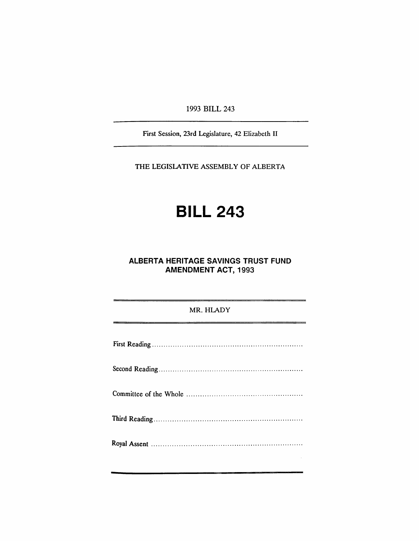1993 BILL 243

First Session, 23rd Legislature, 42 Elizabeth II

THE LEGISLATIVE ASSEMBLY OF ALBERTA

# **BILL 243**

## **ALBERTA HERITAGE SAVINGS TRUST FUND AMENDMENT ACT, 1993**

### MR. HLADY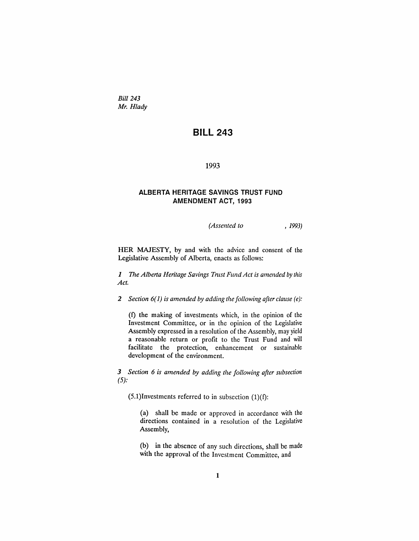*Bill 243 Mr. Hlady*

## **BILL 243**

1993

#### **ALBERTA HERITAGE SAVINGS TRUST FUND AMENDMENT ACT, 1993**

*(Assented to* , 1993)

HER MAJESTY, by and with the advice and consent of the Legislative Assembly of Alberta, enacts as follows:

*1 The Alberta Heritage Savings Tnlst Fund Act is amended by this Act.*

*2 Section* 6(1) *is amended by adding the following after clause (e):*

(1) the making of investments which, in the opinion of the Investment Committee, or in the opinion of the Legislative Assembly expressed in a resolution of the Assembly, may yield a reasonable return or profit to the Trust Fund and will facilitate the protection, enhancement or sustainable development of the environment.

*3 Section* 6 *is amended by adding the following after subsection*  $(5):$ 

 $(5.1)$ Investments referred to in subsection  $(1)(f)$ :

(a) shall be made or approved in accordance with the directions contained in a resolution of the Legislative Assembly,

(b) in the absence of any such directions, shall be made with the approval of the Investment Committee, and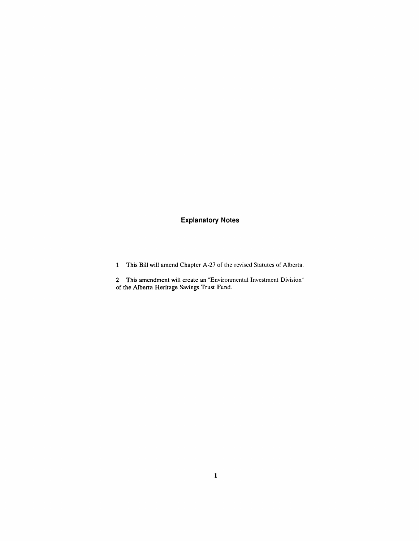## **Explanatory Notes**

1 This Bill will amend Chapter A-27 of the revised Statutes of Alberta.

2 This amendment will create an "Environmental Investment Division" of the Alberta Heritage Savings Trust Fund.

 $\sim$ 

 $\sim 10^6$